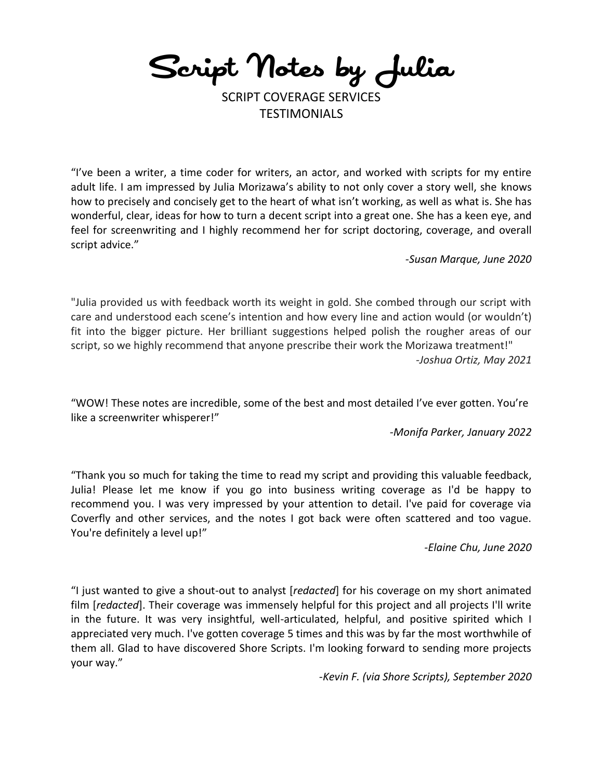Script Notes by Julia

SCRIPT COVERAGE SERVICES TESTIMONIALS

"I've been a writer, a time coder for writers, an actor, and worked with scripts for my entire adult life. I am impressed by Julia Morizawa's ability to not only cover a story well, she knows how to precisely and concisely get to the heart of what isn't working, as well as what is. She has wonderful, clear, ideas for how to turn a decent script into a great one. She has a keen eye, and feel for screenwriting and I highly recommend her for script doctoring, coverage, and overall script advice."

*-Susan Marque, June 2020*

"Julia provided us with feedback worth its weight in gold. She combed through our script with care and understood each scene's intention and how every line and action would (or wouldn't) fit into the bigger picture. Her brilliant suggestions helped polish the rougher areas of our script, so we highly recommend that anyone prescribe their work the Morizawa treatment!" *-Joshua Ortiz, May 2021*

"WOW! These notes are incredible, some of the best and most detailed I've ever gotten. You're like a screenwriter whisperer!"

*-Monifa Parker, January 2022*

"Thank you so much for taking the time to read my script and providing this valuable feedback, Julia! Please let me know if you go into business writing coverage as I'd be happy to recommend you. I was very impressed by your attention to detail. I've paid for coverage via Coverfly and other services, and the notes I got back were often scattered and too vague. You're definitely a level up!"

*-Elaine Chu, June 2020*

"I just wanted to give a shout-out to analyst [*redacted*] for his coverage on my short animated film [*redacted*]. Their coverage was immensely helpful for this project and all projects I'll write in the future. It was very insightful, well-articulated, helpful, and positive spirited which I appreciated very much. I've gotten coverage 5 times and this was by far the most worthwhile of them all. Glad to have discovered Shore Scripts. I'm looking forward to sending more projects your way."

*-Kevin F. (via Shore Scripts), September 2020*